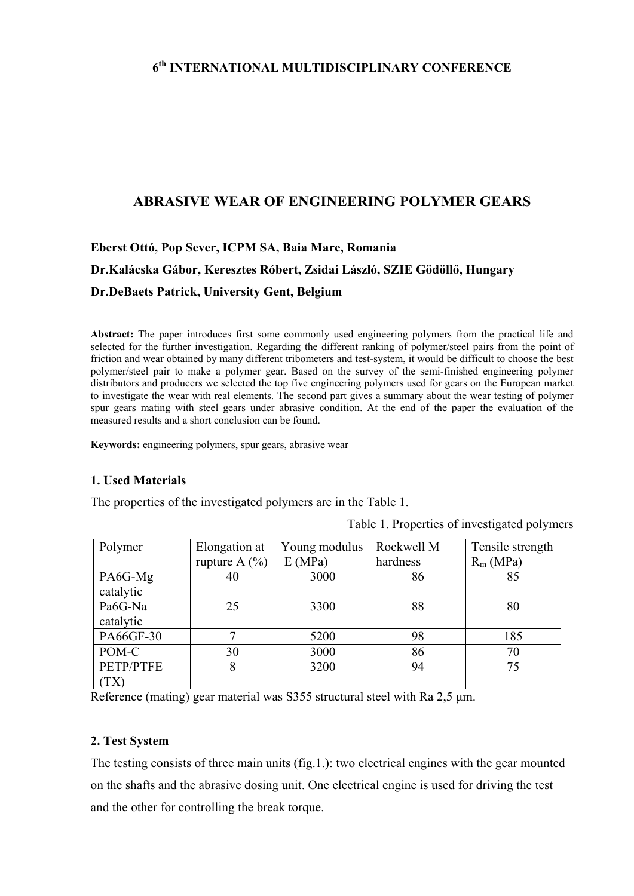## **6th INTERNATIONAL MULTIDISCIPLINARY CONFERENCE**

## **ABRASIVE WEAR OF ENGINEERING POLYMER GEARS**

# **Eberst Ottó, Pop Sever, ICPM SA, Baia Mare, Romania Dr.Kalácska Gábor, Keresztes Róbert, Zsidai László, SZIE Gödöllő, Hungary Dr.DeBaets Patrick, University Gent, Belgium**

**Abstract:** The paper introduces first some commonly used engineering polymers from the practical life and selected for the further investigation. Regarding the different ranking of polymer/steel pairs from the point of friction and wear obtained by many different tribometers and test-system, it would be difficult to choose the best polymer/steel pair to make a polymer gear. Based on the survey of the semi-finished engineering polymer distributors and producers we selected the top five engineering polymers used for gears on the European market to investigate the wear with real elements. The second part gives a summary about the wear testing of polymer spur gears mating with steel gears under abrasive condition. At the end of the paper the evaluation of the measured results and a short conclusion can be found.

**Keywords:** engineering polymers, spur gears, abrasive wear

### **1. Used Materials**

The properties of the investigated polymers are in the Table 1.

Table 1. Properties of investigated polymers

| Polymer   | Elongation at     | Young modulus | Rockwell M | Tensile strength |
|-----------|-------------------|---------------|------------|------------------|
|           | rupture A $(\% )$ | E(MPa)        | hardness   | $R_m(MPa)$       |
| PA6G-Mg   | 40                | 3000          | 86         | 85               |
| catalytic |                   |               |            |                  |
| Pa6G-Na   | 25                | 3300          | 88         | 80               |
| catalytic |                   |               |            |                  |
| PA66GF-30 |                   | 5200          | 98         | 185              |
| POM-C     | 30                | 3000          | 86         | 70               |
| PETP/PTFE | 8                 | 3200          | 94         | 75               |
| (TX)      |                   |               |            |                  |

Reference (mating) gear material was S355 structural steel with Ra 2,5 μm.

### **2. Test System**

The testing consists of three main units (fig.1.): two electrical engines with the gear mounted on the shafts and the abrasive dosing unit. One electrical engine is used for driving the test and the other for controlling the break torque.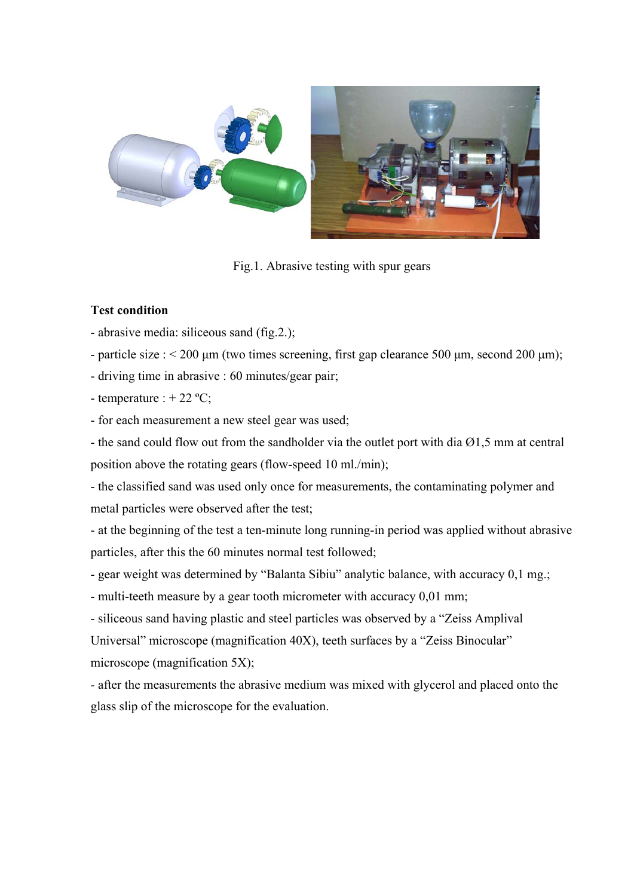

Fig.1. Abrasive testing with spur gears

## **Test condition**

- abrasive media: siliceous sand (fig.2.);

- particle size :  $\leq 200 \mu m$  (two times screening, first gap clearance 500  $\mu m$ , second 200  $\mu m$ );

- driving time in abrasive : 60 minutes/gear pair;

- temperature :  $+ 22 \degree C$ ;

- for each measurement a new steel gear was used;

- the sand could flow out from the sandholder via the outlet port with dia Ø1,5 mm at central position above the rotating gears (flow-speed 10 ml./min);

- the classified sand was used only once for measurements, the contaminating polymer and metal particles were observed after the test;

- at the beginning of the test a ten-minute long running-in period was applied without abrasive particles, after this the 60 minutes normal test followed;

- gear weight was determined by "Balanta Sibiu" analytic balance, with accuracy 0,1 mg.;

- multi-teeth measure by a gear tooth micrometer with accuracy 0,01 mm;

- siliceous sand having plastic and steel particles was observed by a "Zeiss Amplival

Universal" microscope (magnification 40X), teeth surfaces by a "Zeiss Binocular" microscope (magnification 5X);

- after the measurements the abrasive medium was mixed with glycerol and placed onto the glass slip of the microscope for the evaluation.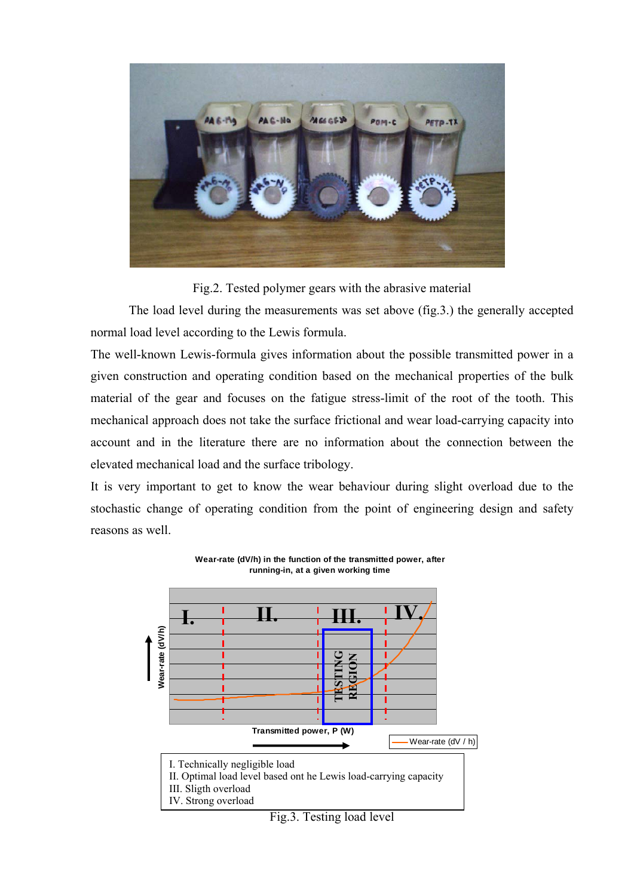

Fig.2. Tested polymer gears with the abrasive material

The load level during the measurements was set above (fig.3.) the generally accepted normal load level according to the Lewis formula.

The well-known Lewis-formula gives information about the possible transmitted power in a given construction and operating condition based on the mechanical properties of the bulk material of the gear and focuses on the fatigue stress-limit of the root of the tooth. This mechanical approach does not take the surface frictional and wear load-carrying capacity into account and in the literature there are no information about the connection between the elevated mechanical load and the surface tribology.

It is very important to get to know the wear behaviour during slight overload due to the stochastic change of operating condition from the point of engineering design and safety reasons as well.

> **Wear-rate (dV/h) in the function of the transmitted power, after running-in, at a given working time**

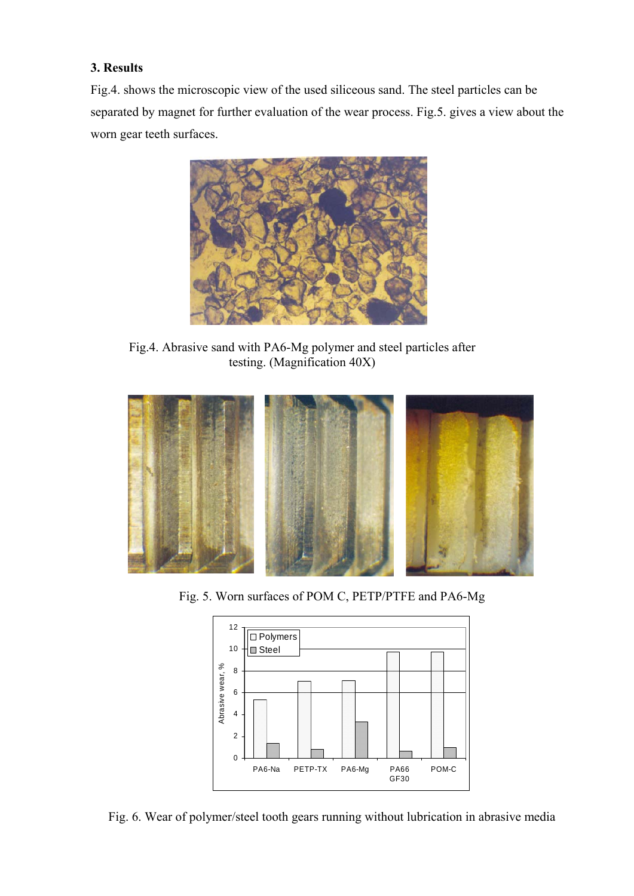## **3. Results**

Fig.4. shows the microscopic view of the used siliceous sand. The steel particles can be separated by magnet for further evaluation of the wear process. Fig.5. gives a view about the worn gear teeth surfaces.



Fig.4. Abrasive sand with PA6-Mg polymer and steel particles after testing. (Magnification 40X)



Fig. 5. Worn surfaces of POM C, PETP/PTFE and PA6-Mg



Fig. 6. Wear of polymer/steel tooth gears running without lubrication in abrasive media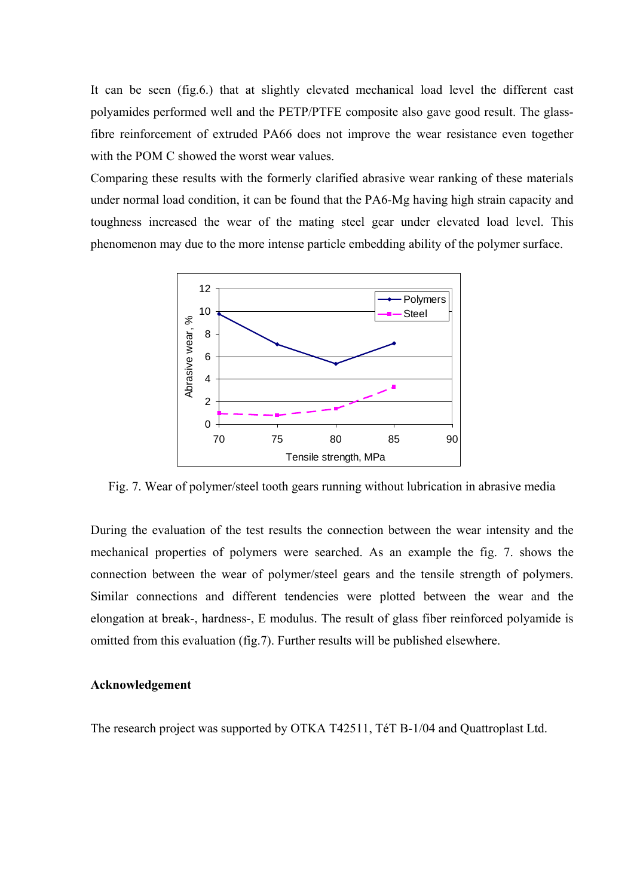It can be seen (fig.6.) that at slightly elevated mechanical load level the different cast polyamides performed well and the PETP/PTFE composite also gave good result. The glassfibre reinforcement of extruded PA66 does not improve the wear resistance even together with the POM C showed the worst wear values.

Comparing these results with the formerly clarified abrasive wear ranking of these materials under normal load condition, it can be found that the PA6-Mg having high strain capacity and toughness increased the wear of the mating steel gear under elevated load level. This phenomenon may due to the more intense particle embedding ability of the polymer surface.



Fig. 7. Wear of polymer/steel tooth gears running without lubrication in abrasive media

During the evaluation of the test results the connection between the wear intensity and the mechanical properties of polymers were searched. As an example the fig. 7. shows the connection between the wear of polymer/steel gears and the tensile strength of polymers. Similar connections and different tendencies were plotted between the wear and the elongation at break-, hardness-, E modulus. The result of glass fiber reinforced polyamide is omitted from this evaluation (fig.7). Further results will be published elsewhere.

#### **Acknowledgement**

The research project was supported by OTKA T42511, TéT B-1/04 and Quattroplast Ltd.